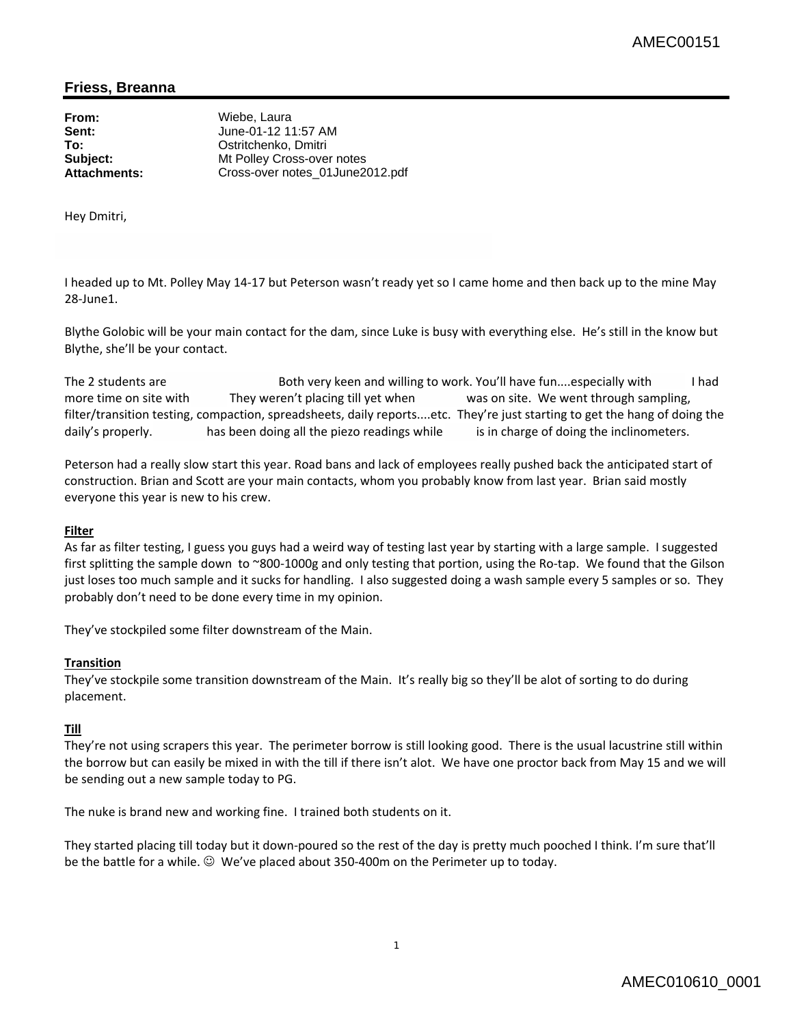## **Friess, Breanna**

**From:** Wiebe, Laura **Sent:** June-01-12 11:57 AM **To:** Ostritchenko, Dmitri **Subject:** Mt Polley Cross-over notes<br> **Attachments:** Cross-over notes 01June2 **Attachments:** Cross-over notes\_01June2012.pdf

Hey Dmitri,

I headed up to Mt. Polley May 14‐17 but Peterson wasn't ready yet so I came home and then back up to the mine May 28‐June1.

Blythe Golobic will be your main contact for the dam, since Luke is busy with everything else. He's still in the know but Blythe, she'll be your contact.

The 2 students are The Both very keen and willing to work. You'll have fun....especially with Thad more time on site with They weren't placing till yet when was on site. We went through sampling, filter/transition testing, compaction, spreadsheets, daily reports....etc. They're just starting to get the hang of doing the daily's properly. has been doing all the piezo readings while is in charge of doing the inclinometers.

Peterson had a really slow start this year. Road bans and lack of employees really pushed back the anticipated start of construction. Brian and Scott are your main contacts, whom you probably know from last year. Brian said mostly everyone this year is new to his crew.

## **Filter**

As far as filter testing, I guess you guys had a weird way of testing last year by starting with a large sample. I suggested first splitting the sample down to ~800-1000g and only testing that portion, using the Ro-tap. We found that the Gilson just loses too much sample and it sucks for handling. I also suggested doing a wash sample every 5 samples or so. They probably don't need to be done every time in my opinion.

They've stockpiled some filter downstream of the Main.

## **Transition**

They've stockpile some transition downstream of the Main. It's really big so they'll be alot of sorting to do during placement.

## **Till**

They're not using scrapers this year. The perimeter borrow is still looking good. There is the usual lacustrine still within the borrow but can easily be mixed in with the till if there isn't alot. We have one proctor back from May 15 and we will be sending out a new sample today to PG.

The nuke is brand new and working fine. I trained both students on it.

They started placing till today but it down‐poured so the rest of the day is pretty much pooched I think. I'm sure that'll be the battle for a while. <sup>◎</sup> We've placed about 350-400m on the Perimeter up to today.